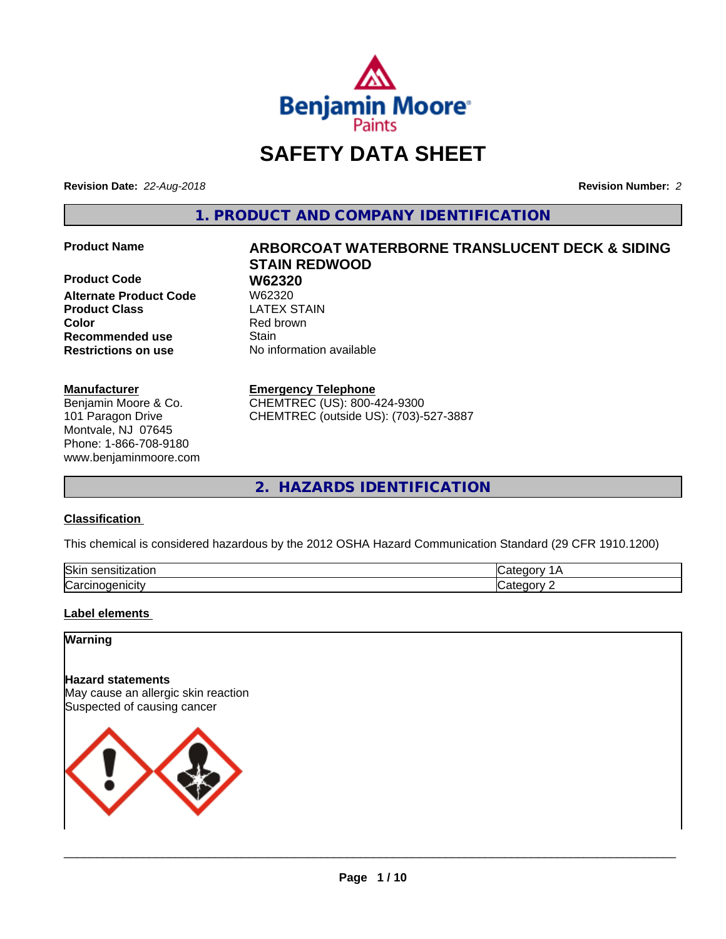

# **SAFETY DATA SHEET**

**Revision Date:** *22-Aug-2018* **Revision Number:** *2*

**1. PRODUCT AND COMPANY IDENTIFICATION**

**Product Code 61 W62320**<br>Alternate Product Code 61 W62320 **Alternate Product Code W62320<br>
<b>Product Class** LATEX STAIN **Product Class Color** Red brown **Recommended use Stain Restrictions on use** No information available

#### **Manufacturer**

Benjamin Moore & Co. 101 Paragon Drive Montvale, NJ 07645 Phone: 1-866-708-9180 www.benjaminmoore.com

# **Product Name ARBORCOAT WATERBORNE TRANSLUCENT DECK & SIDING STAIN REDWOOD**

#### **Emergency Telephone**

CHEMTREC (US): 800-424-9300 CHEMTREC (outside US): (703)-527-3887

**2. HAZARDS IDENTIFICATION**

#### **Classification**

This chemical is considered hazardous by the 2012 OSHA Hazard Communication Standard (29 CFR 1910.1200)

| Skir<br>.<br>------<br>zation<br>ייר |  |
|--------------------------------------|--|
| ∽<br>'تەت.                           |  |

#### **Label elements**

#### **Warning**

**Hazard statements** May cause an allergic skin reaction Suspected of causing cancer

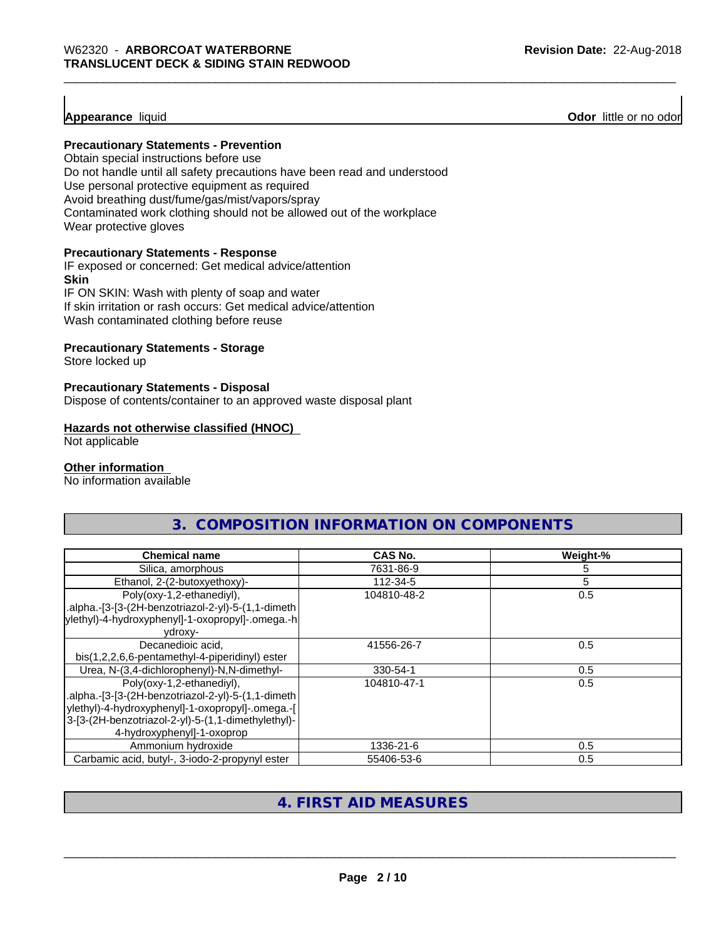#### **Appearance** liquid

**Odor** little or no odor

#### **Precautionary Statements - Prevention**

Obtain special instructions before use Do not handle until all safety precautions have been read and understood Use personal protective equipment as required Avoid breathing dust/fume/gas/mist/vapors/spray Contaminated work clothing should not be allowed out of the workplace Wear protective gloves

#### **Precautionary Statements - Response**

IF exposed or concerned: Get medical advice/attention **Skin** IF ON SKIN: Wash with plenty of soap and water

If skin irritation or rash occurs: Get medical advice/attention Wash contaminated clothing before reuse

#### **Precautionary Statements - Storage**

Store locked up

#### **Precautionary Statements - Disposal**

Dispose of contents/container to an approved waste disposal plant

#### **Hazards not otherwise classified (HNOC)**

Not applicable

#### **Other information**

No information available

| 3. COMPOSITION INFORMATION ON COMPONENTS                                                                                                                                                                                |                |          |
|-------------------------------------------------------------------------------------------------------------------------------------------------------------------------------------------------------------------------|----------------|----------|
| <b>Chemical name</b>                                                                                                                                                                                                    | <b>CAS No.</b> | Weight-% |
| Silica, amorphous                                                                                                                                                                                                       | 7631-86-9      | 5        |
| Ethanol, 2-(2-butoxyethoxy)-                                                                                                                                                                                            | 112-34-5       | 5        |
| Poly(oxy-1,2-ethanediyl),<br>.alpha.-[3-[3-(2H-benzotriazol-2-yl)-5-(1,1-dimeth<br>ylethyl)-4-hydroxyphenyl]-1-oxopropyl]-.omega.-h<br>ydroxy-                                                                          | 104810-48-2    | 0.5      |
| Decanedioic acid,<br>bis(1,2,2,6,6-pentamethyl-4-piperidinyl) ester                                                                                                                                                     | 41556-26-7     | 0.5      |
| Urea, N-(3,4-dichlorophenyl)-N,N-dimethyl-                                                                                                                                                                              | 330-54-1       | 0.5      |
| Poly(oxy-1,2-ethanediyl),<br>.alpha.-[3-[3-(2H-benzotriazol-2-yl)-5-(1,1-dimeth<br>ylethyl)-4-hydroxyphenyl]-1-oxopropyl]-.omega.-[<br>3-[3-(2H-benzotriazol-2-yl)-5-(1,1-dimethylethyl)-<br>4-hydroxyphenyl]-1-oxoprop | 104810-47-1    | 0.5      |
| Ammonium hydroxide                                                                                                                                                                                                      | 1336-21-6      | 0.5      |
| Carbamic acid, butyl-, 3-iodo-2-propynyl ester                                                                                                                                                                          | 55406-53-6     | 0.5      |

#### **4. FIRST AID MEASURES**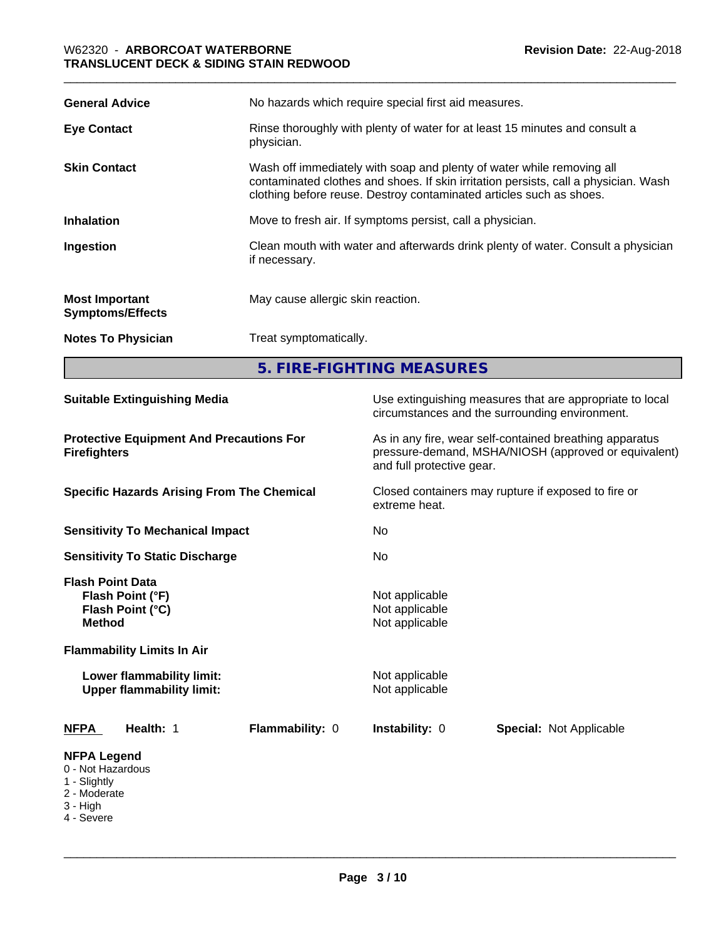| <b>General Advice</b>                            | No hazards which require special first aid measures.                                                                                                                                                                                |  |
|--------------------------------------------------|-------------------------------------------------------------------------------------------------------------------------------------------------------------------------------------------------------------------------------------|--|
| <b>Eye Contact</b>                               | Rinse thoroughly with plenty of water for at least 15 minutes and consult a<br>physician.                                                                                                                                           |  |
| <b>Skin Contact</b>                              | Wash off immediately with soap and plenty of water while removing all<br>contaminated clothes and shoes. If skin irritation persists, call a physician. Wash<br>clothing before reuse. Destroy contaminated articles such as shoes. |  |
| <b>Inhalation</b>                                | Move to fresh air. If symptoms persist, call a physician.                                                                                                                                                                           |  |
| Ingestion                                        | Clean mouth with water and afterwards drink plenty of water. Consult a physician<br>if necessary.                                                                                                                                   |  |
| <b>Most Important</b><br><b>Symptoms/Effects</b> | May cause allergic skin reaction.                                                                                                                                                                                                   |  |
| <b>Notes To Physician</b>                        | Treat symptomatically.                                                                                                                                                                                                              |  |
|                                                  | 5. FIRE-FIGHTING MEASURES                                                                                                                                                                                                           |  |

| <b>Suitable Extinguishing Media</b>                                                                                   | Use extinguishing measures that are appropriate to local<br>circumstances and the surrounding environment.                                                                                                                        |  |
|-----------------------------------------------------------------------------------------------------------------------|-----------------------------------------------------------------------------------------------------------------------------------------------------------------------------------------------------------------------------------|--|
| <b>Protective Equipment And Precautions For</b><br><b>Firefighters</b>                                                | As in any fire, wear self-contained breathing apparatus<br>pressure-demand, MSHA/NIOSH (approved or equivalent)<br>and full protective gear.<br>Closed containers may rupture if exposed to fire or<br>extreme heat.<br>No<br>No. |  |
| <b>Specific Hazards Arising From The Chemical</b>                                                                     |                                                                                                                                                                                                                                   |  |
| <b>Sensitivity To Mechanical Impact</b>                                                                               |                                                                                                                                                                                                                                   |  |
| <b>Sensitivity To Static Discharge</b>                                                                                |                                                                                                                                                                                                                                   |  |
| <b>Flash Point Data</b><br>Flash Point (°F)<br>Flash Point (°C)<br><b>Method</b><br><b>Flammability Limits In Air</b> | Not applicable<br>Not applicable<br>Not applicable                                                                                                                                                                                |  |
| Lower flammability limit:<br><b>Upper flammability limit:</b>                                                         | Not applicable<br>Not applicable                                                                                                                                                                                                  |  |
| Health: 1<br>Flammability: 0<br><b>NFPA</b>                                                                           | Instability: 0<br><b>Special: Not Applicable</b>                                                                                                                                                                                  |  |
| <b>NFPA Legend</b><br>0 - Not Hazardous<br>1 - Slightly<br>2 - Moderate<br>3 - High<br>4 - Severe                     |                                                                                                                                                                                                                                   |  |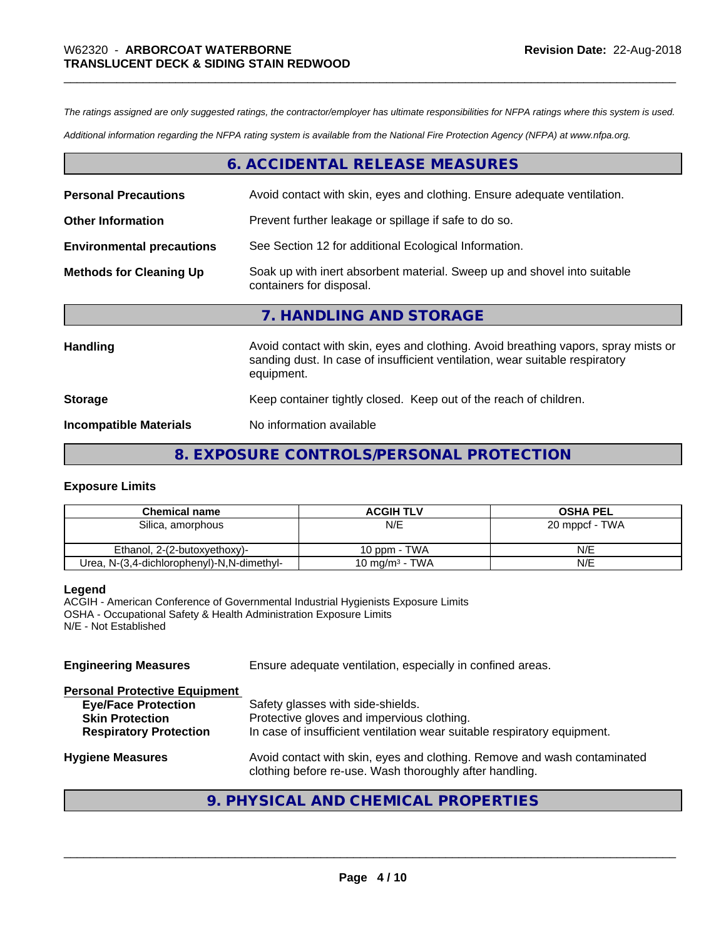*The ratings assigned are only suggested ratings, the contractor/employer has ultimate responsibilities for NFPA ratings where this system is used.*

*Additional information regarding the NFPA rating system is available from the National Fire Protection Agency (NFPA) at www.nfpa.org.*

#### **6. ACCIDENTAL RELEASE MEASURES**

| <b>Personal Precautions</b>      | Avoid contact with skin, eyes and clothing. Ensure adequate ventilation.                                                                                                         |  |
|----------------------------------|----------------------------------------------------------------------------------------------------------------------------------------------------------------------------------|--|
| <b>Other Information</b>         | Prevent further leakage or spillage if safe to do so.                                                                                                                            |  |
| <b>Environmental precautions</b> | See Section 12 for additional Ecological Information.                                                                                                                            |  |
| <b>Methods for Cleaning Up</b>   | Soak up with inert absorbent material. Sweep up and shovel into suitable<br>containers for disposal.                                                                             |  |
|                                  | 7. HANDLING AND STORAGE                                                                                                                                                          |  |
| Handling                         | Avoid contact with skin, eyes and clothing. Avoid breathing vapors, spray mists or<br>sanding dust. In case of insufficient ventilation, wear suitable respiratory<br>equipment. |  |
| <b>Storage</b>                   | Keep container tightly closed. Keep out of the reach of children.                                                                                                                |  |
| <b>Incompatible Materials</b>    | No information available                                                                                                                                                         |  |

#### **8. EXPOSURE CONTROLS/PERSONAL PROTECTION**

#### **Exposure Limits**

| <b>Chemical name</b>                       | <b>ACGIH TLV</b>           | <b>OSHA PEL</b> |
|--------------------------------------------|----------------------------|-----------------|
| Silica, amorphous                          | N/E                        | 20 mppcf - TWA  |
|                                            |                            |                 |
| Ethanol. 2-(2-butoxyethoxy)-               | 10 ppm - TWA               | N/E             |
| Urea, N-(3,4-dichlorophenyl)-N,N-dimethyl- | 10 mg/m <sup>3</sup> - TWA | N/E             |

#### **Legend**

ACGIH - American Conference of Governmental Industrial Hygienists Exposure Limits OSHA - Occupational Safety & Health Administration Exposure Limits N/E - Not Established

| <b>Engineering Measures</b>                                                                                                   | Ensure adequate ventilation, especially in confined areas.                                                                                                  |  |
|-------------------------------------------------------------------------------------------------------------------------------|-------------------------------------------------------------------------------------------------------------------------------------------------------------|--|
| <b>Personal Protective Equipment</b><br><b>Eye/Face Protection</b><br><b>Skin Protection</b><br><b>Respiratory Protection</b> | Safety glasses with side-shields.<br>Protective gloves and impervious clothing.<br>In case of insufficient ventilation wear suitable respiratory equipment. |  |
| <b>Hygiene Measures</b>                                                                                                       | Avoid contact with skin, eyes and clothing. Remove and wash contaminated<br>clothing before re-use. Wash thoroughly after handling.                         |  |

## **9. PHYSICAL AND CHEMICAL PROPERTIES**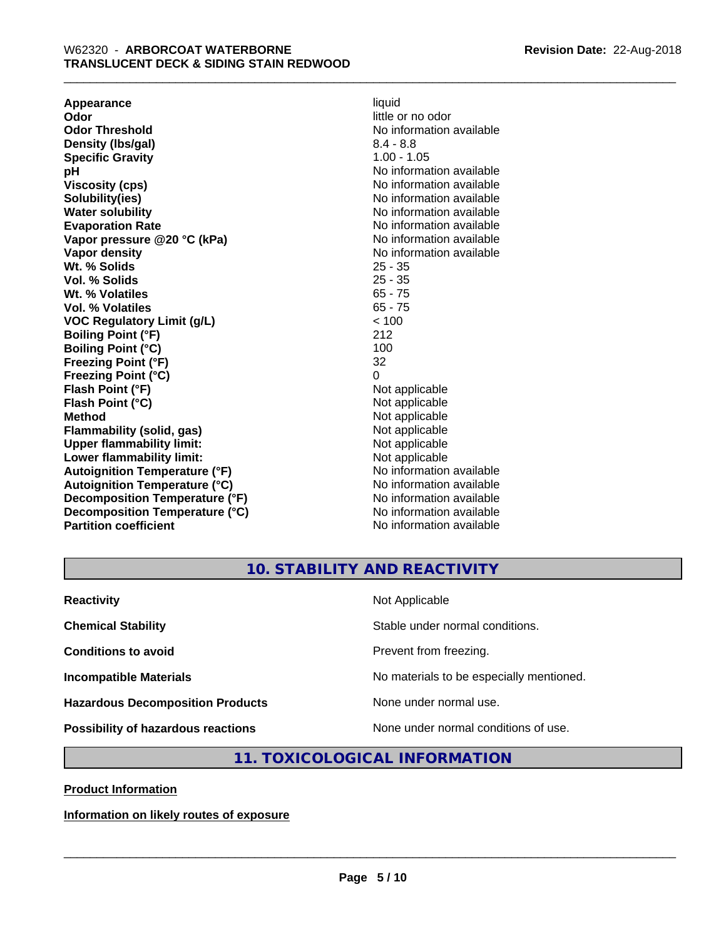**Appearance** liquid **and a liquid contract of the contract of the contract of the contract of the contract of the contract of the contract of the contract of the contract of the contract of the contract of the contract of Odor Threshold** No information available **Density (Ibs/gal)** 8.4 - 8.8<br> **Specific Gravity** 8.4 - 8.8 **Specific Gravity pH pH**  $\blacksquare$ **Viscosity (cps)** No information available in the Viscosity (cps) **Solubility(ies)** No information available in the solution of the solution of the solution available in the solution of the solution of the solution of the solution of the solution of the solution of the solution of the so **Water solubility** No information available **Evaporation Rate No information available No information available Vapor pressure @20 °C (kPa)** No information available **Vapor density No information available No** information available **Wt. % Solids** 25 - 35 **Vol. % Solids** 25 - 35 Wt. % Volatiles **Vol. % Volatiles** 65 - 75 **VOC Regulatory Limit (g/L)** < 100 **Boiling Point (°F)** 212 **Boiling Point (°C)** 100<br> **Preezing Point (°F)** 32 **Freezing Point (°F) Freezing Point (°C)** 0 **Flash Point (°F)** Not applicable **Flash Point (°C)** Not applicable **Method**<br> **Flammability (solid, gas)**<br> **Commability (solid, gas)**<br>
Mot applicable **Flammability (solid, gas)**<br> **Upper flammability limit:**<br>
Upper flammability limit:<br>  $\begin{array}{ccc}\n\bullet & \bullet & \bullet \\
\bullet & \bullet & \bullet\n\end{array}$ **Upper flammability limit:**<br> **Lower flammability limit:**<br>
Not applicable<br>
Not applicable **Lower flammability limit:**<br> **Autoianition Temperature (°F)** Not applicable Not applicable not a Not applicable **Autoignition Temperature (°F) Autoignition Temperature (°C)** No information available **Decomposition Temperature (°F)** No information available **Decomposition Temperature (°C)** No information available **Partition coefficient** No information available

little or no odor

#### **10. STABILITY AND REACTIVITY**

| <b>Reactivity</b>                         | Not Applicable                           |
|-------------------------------------------|------------------------------------------|
| <b>Chemical Stability</b>                 | Stable under normal conditions.          |
| <b>Conditions to avoid</b>                | Prevent from freezing.                   |
| <b>Incompatible Materials</b>             | No materials to be especially mentioned. |
| <b>Hazardous Decomposition Products</b>   | None under normal use.                   |
| <b>Possibility of hazardous reactions</b> | None under normal conditions of use.     |

#### **11. TOXICOLOGICAL INFORMATION**

**Product Information**

**Information on likely routes of exposure**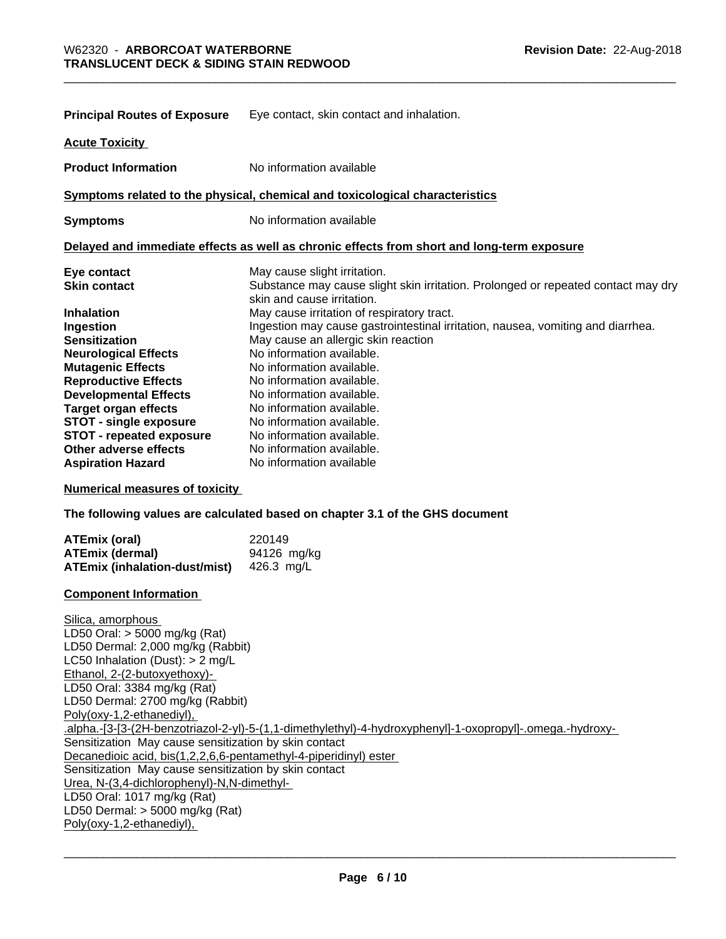| <b>Principal Routes of Exposure</b>   | Eye contact, skin contact and inhalation.                                                                       |  |
|---------------------------------------|-----------------------------------------------------------------------------------------------------------------|--|
| <b>Acute Toxicity</b>                 |                                                                                                                 |  |
| <b>Product Information</b>            | No information available                                                                                        |  |
|                                       | Symptoms related to the physical, chemical and toxicological characteristics                                    |  |
| <b>Symptoms</b>                       | No information available                                                                                        |  |
|                                       | Delayed and immediate effects as well as chronic effects from short and long-term exposure                      |  |
| Eye contact                           | May cause slight irritation.                                                                                    |  |
| <b>Skin contact</b>                   | Substance may cause slight skin irritation. Prolonged or repeated contact may dry<br>skin and cause irritation. |  |
| <b>Inhalation</b>                     | May cause irritation of respiratory tract.                                                                      |  |
| Ingestion                             | Ingestion may cause gastrointestinal irritation, nausea, vomiting and diarrhea.                                 |  |
| <b>Sensitization</b>                  | May cause an allergic skin reaction                                                                             |  |
| <b>Neurological Effects</b>           | No information available.                                                                                       |  |
| <b>Mutagenic Effects</b>              | No information available.                                                                                       |  |
| <b>Reproductive Effects</b>           | No information available.                                                                                       |  |
| <b>Developmental Effects</b>          | No information available.                                                                                       |  |
| <b>Target organ effects</b>           | No information available.                                                                                       |  |
| <b>STOT - single exposure</b>         | No information available.                                                                                       |  |
| <b>STOT - repeated exposure</b>       | No information available.                                                                                       |  |
| Other adverse effects                 | No information available.                                                                                       |  |
| <b>Aspiration Hazard</b>              | No information available                                                                                        |  |
| <b>Numerical measures of toxicity</b> |                                                                                                                 |  |

**The following values are calculated based on chapter 3.1 of the GHS document**

| ATEmix (oral)                        | 220149      |
|--------------------------------------|-------------|
| ATEmix (dermal)                      | 94126 mg/kg |
| <b>ATEmix (inhalation-dust/mist)</b> | 426.3 ma/L  |

#### **Component Information**

Silica, amorphous LD50 Oral: > 5000 mg/kg (Rat) LD50 Dermal: 2,000 mg/kg (Rabbit) LC50 Inhalation (Dust): > 2 mg/L Ethanol, 2-(2-butoxyethoxy)- LD50 Oral: 3384 mg/kg (Rat) LD50 Dermal: 2700 mg/kg (Rabbit) Poly(oxy-1,2-ethanediyl), .alpha.-[3-[3-(2H-benzotriazol-2-yl)-5-(1,1-dimethylethyl)-4-hydroxyphenyl]-1-oxopropyl]-.omega.-hydroxy- Sensitization May cause sensitization by skin contact Decanedioic acid, bis(1,2,2,6,6-pentamethyl-4-piperidinyl) ester Sensitization May cause sensitization by skin contact Urea, N-(3,4-dichlorophenyl)-N,N-dimethyl- LD50 Oral: 1017 mg/kg (Rat) LD50 Dermal: > 5000 mg/kg (Rat) Poly(oxy-1,2-ethanediyl),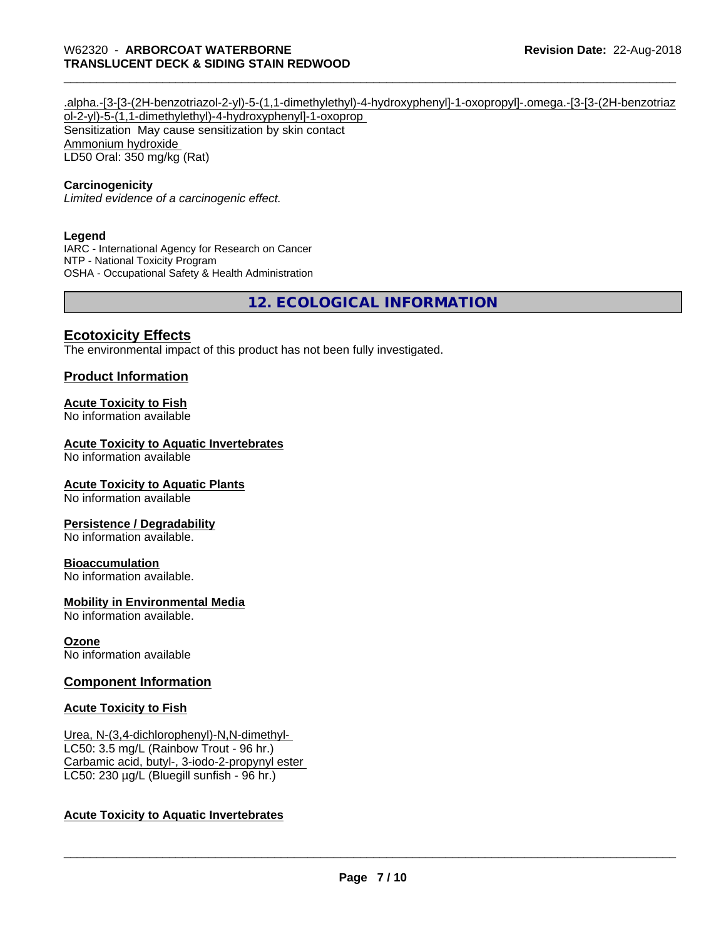#### .alpha.-[3-[3-(2H-benzotriazol-2-yl)-5-(1,1-dimethylethyl)-4-hydroxyphenyl]-1-oxopropyl]-.omega.-[3-[3-(2H-benzotriaz ol-2-yl)-5-(1,1-dimethylethyl)-4-hydroxyphenyl]-1-oxoprop Sensitization May cause sensitization by skin contact Ammonium hydroxide LD50 Oral: 350 mg/kg (Rat)

#### **Carcinogenicity**

*Limited evidence of a carcinogenic effect.*

#### **Legend**

IARC - International Agency for Research on Cancer NTP - National Toxicity Program OSHA - Occupational Safety & Health Administration

**12. ECOLOGICAL INFORMATION**

#### **Ecotoxicity Effects**

The environmental impact of this product has not been fully investigated.

#### **Product Information**

#### **Acute Toxicity to Fish**

No information available

#### **Acute Toxicity to Aquatic Invertebrates**

No information available

#### **Acute Toxicity to Aquatic Plants**

No information available

#### **Persistence / Degradability**

No information available.

#### **Bioaccumulation**

No information available.

#### **Mobility in Environmental Media**

No information available.

#### **Ozone**

No information available

#### **Component Information**

#### **Acute Toxicity to Fish**

Urea, N-(3,4-dichlorophenyl)-N,N-dimethyl- LC50: 3.5 mg/L (Rainbow Trout - 96 hr.) Carbamic acid, butyl-, 3-iodo-2-propynyl ester LC50: 230 µg/L (Bluegill sunfish - 96 hr.)

#### **Acute Toxicity to Aquatic Invertebrates**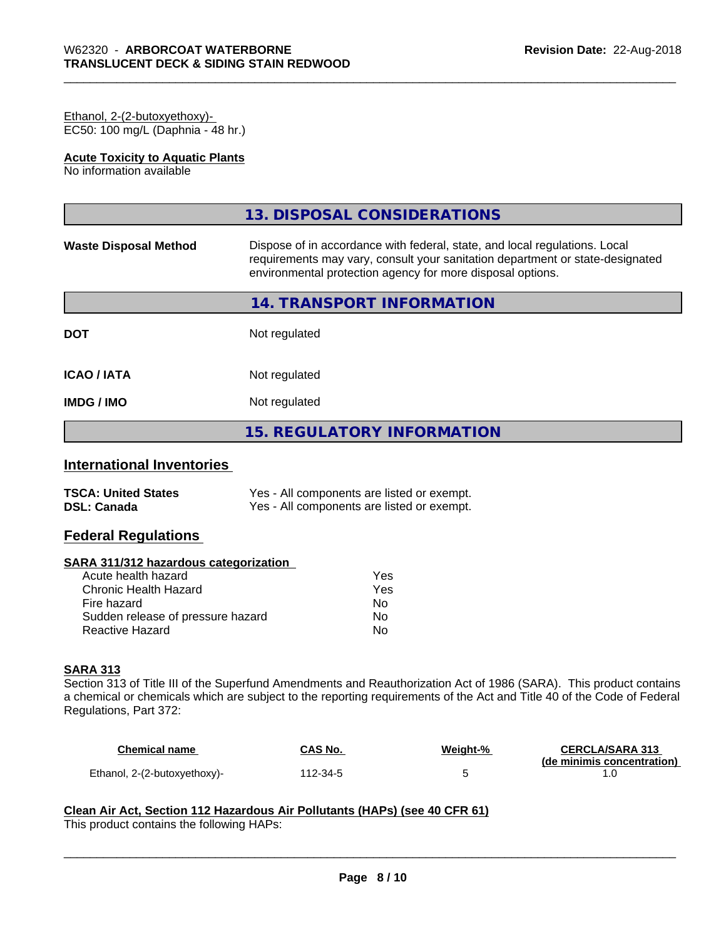#### Ethanol, 2-(2-butoxyethoxy)- EC50: 100 mg/L (Daphnia - 48 hr.)

#### **Acute Toxicity to Aquatic Plants**

No information available

|                              | 13. DISPOSAL CONSIDERATIONS                                                                                                                                                                                               |
|------------------------------|---------------------------------------------------------------------------------------------------------------------------------------------------------------------------------------------------------------------------|
| <b>Waste Disposal Method</b> | Dispose of in accordance with federal, state, and local regulations. Local<br>requirements may vary, consult your sanitation department or state-designated<br>environmental protection agency for more disposal options. |
|                              | 14. TRANSPORT INFORMATION                                                                                                                                                                                                 |
| <b>DOT</b>                   | Not regulated                                                                                                                                                                                                             |
| <b>ICAO/IATA</b>             | Not regulated                                                                                                                                                                                                             |
| <b>IMDG/IMO</b>              | Not regulated                                                                                                                                                                                                             |
|                              | <b>15. REGULATORY INFORMATION</b>                                                                                                                                                                                         |

## **International Inventories**

| <b>TSCA: United States</b> | Yes - All components are listed or exempt. |
|----------------------------|--------------------------------------------|
| <b>DSL: Canada</b>         | Yes - All components are listed or exempt. |

#### **Federal Regulations**

#### **SARA 311/312 hazardous categorization**

| Acute health hazard               | Yes |
|-----------------------------------|-----|
| Chronic Health Hazard             | Yes |
| Fire hazard                       | Nο  |
| Sudden release of pressure hazard | N٥  |
| Reactive Hazard                   | N٥  |

#### **SARA 313**

Section 313 of Title III of the Superfund Amendments and Reauthorization Act of 1986 (SARA). This product contains a chemical or chemicals which are subject to the reporting requirements of the Act and Title 40 of the Code of Federal Regulations, Part 372:

| Chemical name                | CAS No.  | Weight-% | <b>CERCLA/SARA 313</b>     |
|------------------------------|----------|----------|----------------------------|
|                              |          |          | (de minimis concentration) |
| Ethanol, 2-(2-butoxyethoxy)- | 112-34-5 |          |                            |

 $\overline{\phantom{a}}$  ,  $\overline{\phantom{a}}$  ,  $\overline{\phantom{a}}$  ,  $\overline{\phantom{a}}$  ,  $\overline{\phantom{a}}$  ,  $\overline{\phantom{a}}$  ,  $\overline{\phantom{a}}$  ,  $\overline{\phantom{a}}$  ,  $\overline{\phantom{a}}$  ,  $\overline{\phantom{a}}$  ,  $\overline{\phantom{a}}$  ,  $\overline{\phantom{a}}$  ,  $\overline{\phantom{a}}$  ,  $\overline{\phantom{a}}$  ,  $\overline{\phantom{a}}$  ,  $\overline{\phantom{a}}$ 

## **Clean Air Act,Section 112 Hazardous Air Pollutants (HAPs) (see 40 CFR 61)**

This product contains the following HAPs: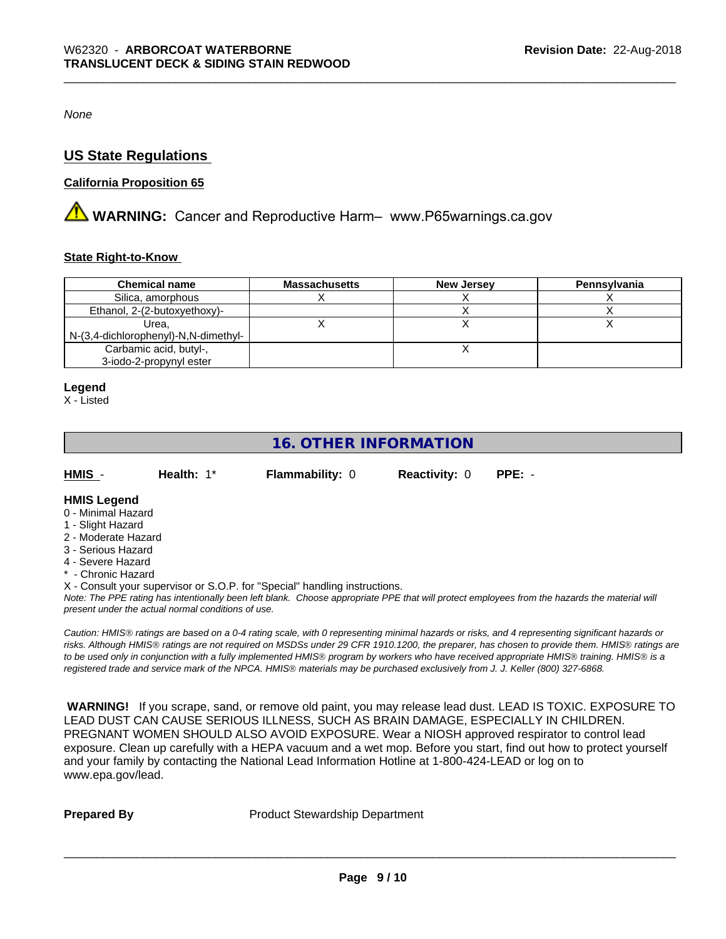*None*

#### **US State Regulations**

#### **California Proposition 65**

**A WARNING:** Cancer and Reproductive Harm– www.P65warnings.ca.gov

#### **State Right-to-Know**

| <b>Chemical name</b>                 | <b>Massachusetts</b> | <b>New Jersey</b> | Pennsylvania |
|--------------------------------------|----------------------|-------------------|--------------|
| Silica, amorphous                    |                      |                   |              |
| Ethanol, 2-(2-butoxyethoxy)-         |                      |                   |              |
| Urea.                                |                      |                   |              |
| N-(3,4-dichlorophenyl)-N,N-dimethyl- |                      |                   |              |
| Carbamic acid, butyl-,               |                      |                   |              |
| 3-iodo-2-propynyl ester              |                      |                   |              |

#### **Legend**

X - Listed

## **16. OTHER INFORMATION**

| HMIS | <b>Health: 1*</b> | <b>Flammability: 0</b> | <b>Reactivity: 0 PPE: -</b> |  |
|------|-------------------|------------------------|-----------------------------|--|
|      |                   |                        |                             |  |

#### **HMIS Legend**

- 0 Minimal Hazard
- 1 Slight Hazard
- 2 Moderate Hazard
- 3 Serious Hazard
- 4 Severe Hazard
- \* Chronic Hazard

X - Consult your supervisor or S.O.P. for "Special" handling instructions.

*Note: The PPE rating has intentionally been left blank. Choose appropriate PPE that will protect employees from the hazards the material will present under the actual normal conditions of use.*

*Caution: HMISÒ ratings are based on a 0-4 rating scale, with 0 representing minimal hazards or risks, and 4 representing significant hazards or risks. Although HMISÒ ratings are not required on MSDSs under 29 CFR 1910.1200, the preparer, has chosen to provide them. HMISÒ ratings are to be used only in conjunction with a fully implemented HMISÒ program by workers who have received appropriate HMISÒ training. HMISÒ is a registered trade and service mark of the NPCA. HMISÒ materials may be purchased exclusively from J. J. Keller (800) 327-6868.*

 **WARNING!** If you scrape, sand, or remove old paint, you may release lead dust. LEAD IS TOXIC. EXPOSURE TO LEAD DUST CAN CAUSE SERIOUS ILLNESS, SUCH AS BRAIN DAMAGE, ESPECIALLY IN CHILDREN. PREGNANT WOMEN SHOULD ALSO AVOID EXPOSURE.Wear a NIOSH approved respirator to control lead exposure. Clean up carefully with a HEPA vacuum and a wet mop. Before you start, find out how to protect yourself and your family by contacting the National Lead Information Hotline at 1-800-424-LEAD or log on to www.epa.gov/lead.

**Prepared By** Product Stewardship Department